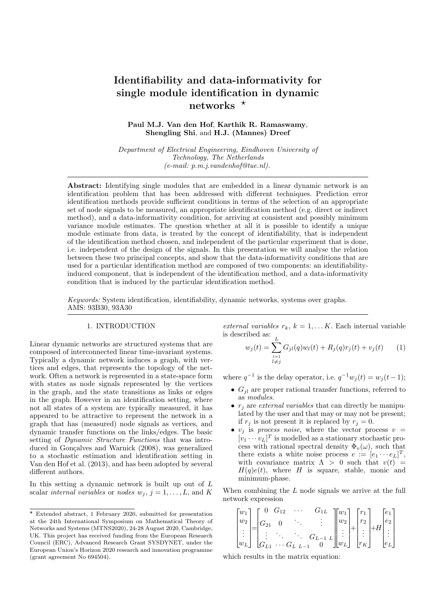# Identifiability and data-informativity for single module identification in dynamic networks  $\star$

Paul M.J. Van den Hof, Karthik R. Ramaswamy, Shengling Shi, and H.J. (Mannes) Dreef

Department of Electrical Engineering, Eindhoven University of Technology, The Netherlands  $(e-mail: p.m.i.vandenhof@tue.nl).$ 

Abstract: Identifying single modules that are embedded in a linear dynamic network is an identification problem that has been addressed with different techniques. Prediction error identification methods provide sufficient conditions in terms of the selection of an appropriate set of node signals to be measured, an appropriate identification method (e.g. direct or indirect method), and a data-informativity condition, for arriving at consistent and possibly minimum variance module estimates. The question whether at all it is possible to identify a unique module estimate from data, is treated by the concept of identifiability, that is independent of the identification method chosen, and independent of the particular experiment that is done, i.e. independent of the design of the signals. In this presentation we will analyse the relation between these two principal concepts, and show that the data-informativity conditions that are used for a particular identification method are composed of two components: an identifiabilityinduced component, that is independent of the identification method, and a data-informativity condition that is induced by the particular identification method.

Keywords: System identification, identifiability, dynamic networks, systems over graphs. AMS: 93B30, 93A30

# 1. INTRODUCTION

Linear dynamic networks are structured systems that are composed of interconnected linear time-invariant systems. Typically a dynamic network induces a graph, with vertices and edges, that represents the topology of the network. Often a network is represented in a state-space form with states as node signals represented by the vertices in the graph, and the state transitions as links or edges in the graph. However in an identification setting, where not all states of a system are typically measured, it has appeared to be attractive to represent the network in a graph that has (measured) node signals as vertices, and dynamic transfer functions on the links/edges. The basic setting of Dynamic Structure Functions that was introduced in Gonçalves and Warnick (2008), was generalized to a stochastic estimation and identification setting in Van den Hof et al. (2013), and has been adopted by several different authors.

In this setting a dynamic network is built up out of L scalar internal variables or nodes  $w_j$ ,  $j = 1, \ldots, L$ , and K

external variables  $r_k$ ,  $k = 1, \ldots K$ . Each internal variable is described as:  $\frac{L}{L}$ 

$$
w_j(t) = \sum_{\substack{l=1\\l \neq j}}^{\infty} G_{jl}(q)w_l(t) + R_j(q)r_j(t) + v_j(t) \qquad (1)
$$

where  $q^{-1}$  is the delay operator, i.e.  $q^{-1}w_j(t) = w_j(t-1);$ 

- $G_{il}$  are proper rational transfer functions, referred to as modules.
- $r_i$  are external variables that can directly be manipulated by the user and that may or may not be present; if  $r_j$  is not present it is replaced by  $r_j = 0$ .
- $v_j$  is process noise, where the vector process  $v =$  $[v_1 \cdots v_L]^T$  is modelled as a stationary stochastic process with rational spectral density  $\Phi_v(\omega)$ , such that there exists a white noise process  $e := [e_1 \cdots e_L]^T$ , with covariance matrix  $\Lambda > 0$  such that  $v(t) =$  $H(q)e(t)$ , where H is square, stable, monic and minimum-phase.

When combining the  $L$  node signals we arrive at the full network expression

$$
\begin{bmatrix} w_1 \\ w_2 \\ \vdots \\ w_L \end{bmatrix} = \begin{bmatrix} 0 & G_{12} & \cdots & G_{1L} \\ G_{21} & 0 & \ddots & \vdots \\ \vdots & \ddots & \ddots & G_{L-1} \\ G_{L1} & \cdots & G_{L} & L-1 & 0 \end{bmatrix} \begin{bmatrix} w_1 \\ w_2 \\ \vdots \\ w_L \end{bmatrix} + \begin{bmatrix} r_1 \\ r_2 \\ \vdots \\ r_K \end{bmatrix} + H \begin{bmatrix} e_1 \\ e_2 \\ \vdots \\ e_L \end{bmatrix}
$$

which results in the matrix equation:

 $*$  Extended abstract, 1 February 2020, submitted for presentation at the 24th International Symposium on Mathematical Theory of Networks and Systems (MTNS2020), 24-28 August 2020, Cambridge, UK. This project has received funding from the European Research Council (ERC), Advanced Research Grant SYSDYNET, under the European Union's Horizon 2020 research and innovation programme (grant agreement No 694504).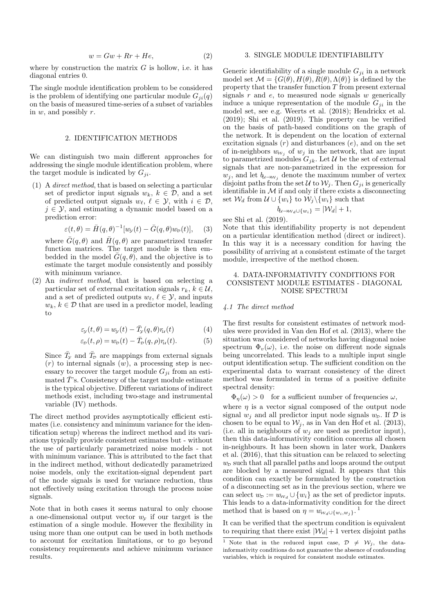$$
w = Gw + Rr + He,\t\t(2)
$$

where by construction the matrix  $G$  is hollow, i.e. it has diagonal entries 0.

The single module identification problem to be considered is the problem of identifying one particular module  $G_{ii}(q)$ on the basis of measured time-series of a subset of variables in  $w$ , and possibly  $r$ .

#### 2. IDENTIFICATION METHODS

We can distinguish two main different approaches for addressing the single module identification problem, where the target module is indicated by  $G_{ii}$ .

(1) A direct method, that is based on selecting a particular set of predictor input signals  $w_k$ ,  $k \in \mathcal{D}$ , and a set of predicted output signals  $w_{\ell}, \ell \in \mathcal{Y}$ , with  $i \in \mathcal{D}$ ,  $j \in \mathcal{Y}$ , and estimating a dynamic model based on a prediction error:

$$
\varepsilon(t,\theta) = \bar{H}(q,\theta)^{-1}[w_{y}(t) - \bar{G}(q,\theta)w_{p}(t)], \quad (3)
$$

where  $\bar{G}(q, \theta)$  and  $\bar{H}(q, \theta)$  are parametrized transfer function matrices. The target module is then embedded in the model  $\overline{G}(q, \theta)$ , and the objective is to estimate the target module consistently and possibly with minimum variance.

(2) An indirect method, that is based on selecting a particular set of external excitation signals  $r_k, k \in \mathcal{U}$ , and a set of predicted outputs  $w_{\ell}, \ell \in \mathcal{Y}$ , and inputs  $w_k, k \in \mathcal{D}$  that are used in a predictor model, leading to

$$
\varepsilon_{\mathcal{Y}}(t,\theta) = w_{\mathcal{Y}}(t) - \bar{T}_{\mathcal{Y}}(q,\theta)r_{\mathcal{U}}(t) \tag{4}
$$

$$
\varepsilon_{\mathcal{D}}(t,\rho) = w_{\mathcal{D}}(t) - \bar{T}_{\mathcal{D}}(q,\rho)r_{\mathcal{U}}(t). \tag{5}
$$

Since  $\bar{T}_{\mathcal{Y}}$  and  $\bar{T}_{\mathcal{D}}$  are mappings from external signals  $(r)$  to internal signals  $(w)$ , a processing step is necessary to recover the target module  $G_{ii}$  from an estimated  $\bar{T}$ 's. Consistency of the target module estimate is the typical objective. Different variations of indirect methods exist, including two-stage and instrumental variable (IV) methods.

The direct method provides asymptotically efficient estimates (i.e. consistency and minimum variance for the identification setup) whereas the indirect method and its variations typically provide consistent estimates but - without the use of particularly parametrized noise models - not with minimum variance. This is attributed to the fact that in the indirect method, without dedicatedly parametrized noise models, only the excitation-signal dependent part of the node signals is used for variance reduction, thus not effectively using excitation through the process noise signals.

Note that in both cases it seems natural to only choose a one-dimensional output vector  $w<sub>v</sub>$  if our target is the estimation of a single module. However the flexibility in using more than one output can be used in both methods to account for excitation limitations, or to go beyond consistency requirements and achieve minimum variance results.

## 3. SINGLE MODULE IDENTIFIABILITY

Generic identifiability of a single module  $G_{ji}$  in a network model set  $\mathcal{M} = \{G(\theta), H(\theta), R(\theta), \Lambda(\theta)\}\$ is defined by the property that the transfer function  $T$  from present external signals  $r$  and  $e$ , to measured node signals  $w$  generically induce a unique representation of the module  $G_{ji}$  in the model set, see e.g. Weerts et al. (2018); Hendrickx et al. (2019); Shi et al. (2019). This property can be verified on the basis of path-based conditions on the graph of the network. It is dependent on the location of external excitation signals  $(r)$  and disturbances  $(e)$ , and on the set of in-neighbors  $w_{\mathcal{W}_j}$  of  $w_j$  in the network, that are input to parametrized modules  $G_{jk}$ . Let U be the set of external signals that are non-parametrized in the expression for  $w_j$ , and let  $b_{\ell \to W_j}$  denote the maximum number of vertex disjoint paths from the set U to  $W_i$ . Then  $G_{ji}$  is generically identifiable in  $M$  if and only if there exists a disconnecting set  $\mathcal{W}_d$  from  $\mathcal{U} \cup \{w_i\}$  to  $\mathcal{W}_j \setminus \{w_i\}$  such that

$$
b_{\ell \to W_d \cup \{w_i\}} = |\mathcal{W}_d| + 1,
$$

see Shi et al. (2019).

Note that this identifiability property is not dependent on a particular identification method (direct or indirect). In this way it is a necessary condition for having the possibility of arriving at a consistent estimate of the target module, irrespective of the method chosen.

# 4. DATA-INFORMATIVITY CONDITIONS FOR CONSISTENT MODULE ESTIMATES - DIAGONAL NOISE SPECTRUM

#### 4.1 The direct method

The first results for consistent estimates of network modules were provided in Van den Hof et al. (2013), where the situation was considered of networks having diagonal noise spectrum  $\Phi_{v}(\omega)$ , i.e. the noise on different node signals being uncorrelated. This leads to a multiple input single output identification setup. The sufficient condition on the experimental data to warrant consistency of the direct method was formulated in terms of a positive definite spectral density:

 $\Phi_n(\omega) > 0$  for a sufficient number of frequencies  $\omega$ ,

where  $\eta$  is a vector signal composed of the output node signal  $w_i$  and all predictor input node signals  $w_p$ . If  $\mathcal D$  is chosen to be equal to  $\mathcal{W}_j$ , as in Van den Hof et al. (2013), (i.e. all in neighbours of  $w_i$  are used as predictor input), then this data-informativity condition concerns all chosen in-neighbours. It has been shown in later work, Dankers et al. (2016), that this situation can be relaxed to selecting  $w<sub>p</sub>$  such that all parallel paths and loops around the output are blocked by a measured signal. It appears that this condition can exactly be formulated by the construction of a disconnecting set as in the previous section, where we can select  $w_{\mathcal{D}} := w_{\mathcal{W}_d} \cup \{w_i\}$  as the set of predictor inputs. This leads to a data-informativity condition for the direct method that is based on  $\eta = w_{w_d \cup \{w_i, w_j\}}$ .

It can be verified that the spectrum condition is equivalent to requiring that there exist  $|\mathcal{W}_d|+1$  vertex disjoint paths

<sup>&</sup>lt;sup>1</sup> Note that in the reduced input case,  $\mathcal{D} \neq \mathcal{W}_i$ , the datainformativity conditions do not guarantee the absence of confounding variables, which is required for consistent module estimates.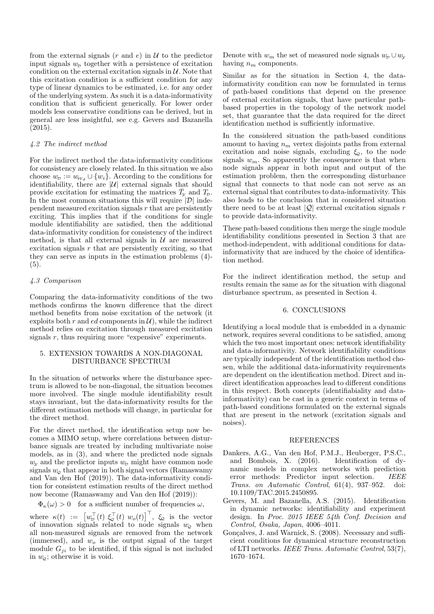from the external signals  $(r \text{ and } e)$  in  $\mathcal U$  to the predictor input signals  $w<sub>p</sub>$  together with a persistence of excitation condition on the external excitation signals in  $\mathcal{U}$ . Note that this excitation condition is a sufficient condition for any type of linear dynamics to be estimated, i.e. for any order of the underlying system. As such it is a data-informativity condition that is sufficient generically. For lower order models less conservative conditions can be derived, but in general are less insightful, see e.g. Gevers and Bazanella (2015).

### 4.2 The indirect method

For the indirect method the data-informativity conditions for consistency are closely related. In this situation we also choose  $w_{\mathcal{D}} := w_{\mathcal{W}_d} \cup \{w_i\}$ . According to the conditions for identifiability, there are  $|\mathcal{U}|$  external signals that should provide excitation for estimating the matrices  $\bar{T}_{\mathcal{Y}}$  and  $T_{\mathcal{D}}$ . In the most common situations this will require  $|\mathcal{D}|$  independent measured excitation signals  $r$  that are persistently exciting. This implies that if the conditions for single module identifiability are satisfied, then the additional data-informativity condition for consistency of the indirect method, is that all external signals in  $U$  are measured excitation signals  $r$  that are persistently exciting, so that they can serve as inputs in the estimation problems (4)-  $(5).$ 

### 4.3 Comparison

Comparing the data-informativity conditions of the two methods confirms the known difference that the direct method benefits from noise excitation of the network (it exploits both r and ed components in  $\mathcal{U}$ , while the indirect method relies on excitation through measured excitation signals  $r$ , thus requiring more "expensive" experiments.

## 5. EXTENSION TOWARDS A NON-DIAGONAL DISTURBANCE SPECTRUM

In the situation of networks where the disturbance spectrum is allowed to be non-diagonal, the situation becomes more involved. The single module identifiability result stays invariant, but the data-informativity results for the different estimation methods will change, in particular for the direct method.

For the direct method, the identification setup now becomes a MIMO setup, where correlations between disturbance signals are treated by including multivariate noise models, as in (3), and where the predicted node signals  $w<sub>y</sub>$  and the predictor inputs  $w<sub>p</sub>$  might have common node signals  $w<sub>o</sub>$  that appear in both signal vectors (Ramaswamy and Van den Hof (2019)). The data-informativity condition for consistent estimation results of the direct method now become (Ramaswamy and Van den Hof (2019)):

 $\Phi_{\kappa}(\omega) > 0$  for a sufficient number of frequencies  $\omega$ ,

where  $\kappa(t) := \left[w_D^{\top}(t) \xi_Q^{\top}(t) w_o(t)\right]^{\top}$ ,  $\xi_Q$  is the vector of innovation signals related to node signals  $w_{\mathcal{Q}}$  when all non-measured signals are removed from the network (immersed), and  $w<sub>o</sub>$  is the output signal of the target module  $G_{ji}$  to be identified, if this signal is not included in  $w_{\varphi}$ ; otherwise it is void.

Denote with  $w_m$  the set of measured node signals  $w_p \cup w_y$ having  $n_m$  components.

Similar as for the situation in Section 4, the datainformativity condition can now be formulated in terms of path-based conditions that depend on the presence of external excitation signals, that have particular pathbased properties in the topology of the network model set, that guarantee that the data required for the direct identification method is sufficiently informative.

In the considered situation the path-based conditions amount to having  $n_m$  vertex disjoints paths from external excitation and noise signals, excluding  $\xi_2$ , to the node signals  $w_m$ . So apparently the consequence is that when node signals appear in both input and output of the estimation problem, then the corresponding disturbance signal that connects to that node can not serve as an external signal that contributes to data-informativity. This also leads to the conclusion that in considered situation there need to be at least  $|Q|$  external excitation signals r to provide data-informativity.

These path-based conditions then merge the single module identifiability conditions presented in Section 3 that are method-independent, with additional conditions for datainformativity that are induced by the choice of identification method.

For the indirect identification method, the setup and results remain the same as for the situation with diagonal disturbance spectrum, as presented in Section 4.

#### 6. CONCLUSIONS

Identifying a local module that is embedded in a dynamic network, requires several conditions to be satisfied, among which the two most important ones: network identifiability and data-informativity. Network identifiability conditions are typically independent of the identification method chosen, while the additional data-informativity requirements are dependent on the identification method. Direct and indirect identification approaches lead to different conditions in this respect. Both concepts (identifiabiality and datainformativity) can be cast in a generic context in terms of path-based conditions formulated on the external signals that are present in the network (excitation signals and noises).

#### REFERENCES

- Dankers, A.G., Van den Hof, P.M.J., Heuberger, P.S.C., and Bombois, X. (2016). Identification of dynamic models in complex networks with prediction error methods: Predictor input selection. IEEE Trans. on Automatic Control, 61(4), 937–952. doi: 10.1109/TAC.2015.2450895.
- Gevers, M. and Bazanella, A.S. (2015). Identification in dynamic networks: identifiability and experiment design. In Proc. 2015 IEEE 54th Conf. Decision and Control, Osaka, Japan, 4006–4011.
- Gonçalves, J. and Warnick, S. (2008). Necessary and sufficient conditions for dynamical structure reconstruction of LTI networks. IEEE Trans. Automatic Control, 53(7), 1670–1674.